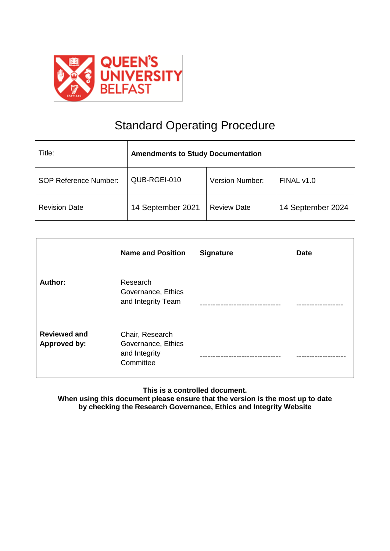

# Standard Operating Procedure

| Title:                       | <b>Amendments to Study Documentation</b> |                        |                   |
|------------------------------|------------------------------------------|------------------------|-------------------|
| <b>SOP Reference Number:</b> | QUB-RGEI-010                             | <b>Version Number:</b> | FINAL v1.0        |
| <b>Revision Date</b>         | 14 September 2021                        | <b>Review Date</b>     | 14 September 2024 |

|                                     | <b>Name and Position</b>                                            | <b>Signature</b> | <b>Date</b> |
|-------------------------------------|---------------------------------------------------------------------|------------------|-------------|
| Author:                             | Research<br>Governance, Ethics<br>and Integrity Team                |                  |             |
| <b>Reviewed and</b><br>Approved by: | Chair, Research<br>Governance, Ethics<br>and Integrity<br>Committee |                  |             |

**This is a controlled document.**

**When using this document please ensure that the version is the most up to date by checking the Research Governance, Ethics and Integrity Website**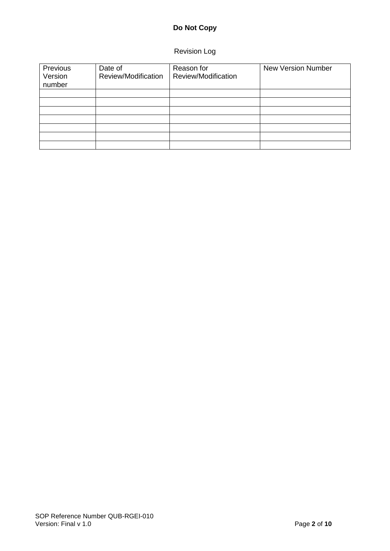# **Do Not Copy**

# Revision Log

| Previous<br>Version<br>number | Date of<br>Review/Modification | Reason for<br>Review/Modification | <b>New Version Number</b> |
|-------------------------------|--------------------------------|-----------------------------------|---------------------------|
|                               |                                |                                   |                           |
|                               |                                |                                   |                           |
|                               |                                |                                   |                           |
|                               |                                |                                   |                           |
|                               |                                |                                   |                           |
|                               |                                |                                   |                           |
|                               |                                |                                   |                           |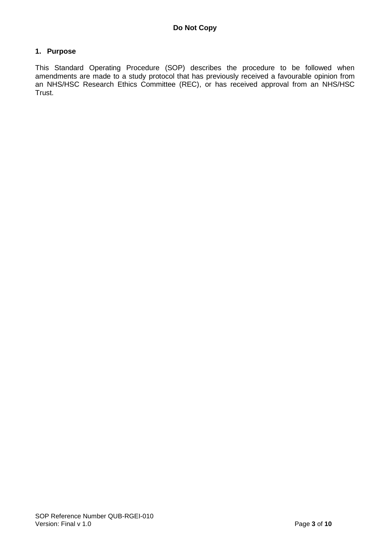#### **1. Purpose**

This Standard Operating Procedure (SOP) describes the procedure to be followed when amendments are made to a study protocol that has previously received a favourable opinion from an NHS/HSC Research Ethics Committee (REC), or has received approval from an NHS/HSC Trust.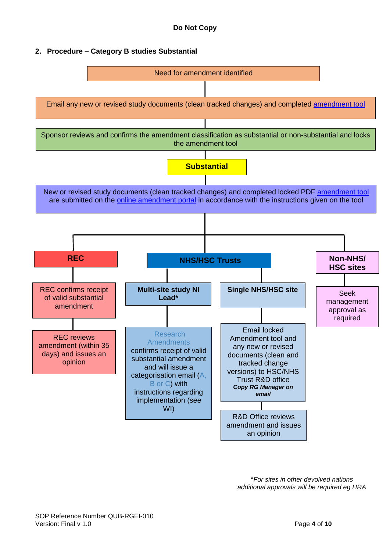### **2. Procedure – Category B studies Substantial**



\**For sites in other devolved nations additional approvals will be required eg HRA*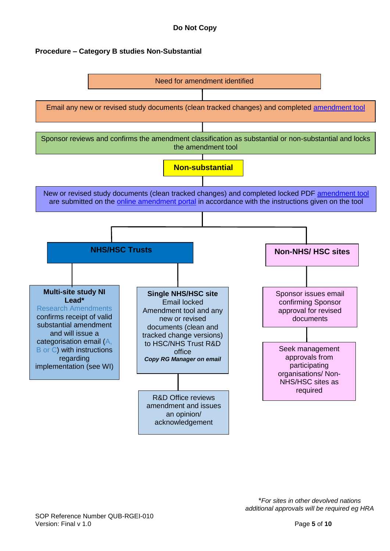## **Procedure – Category B studies Non-Substantial**

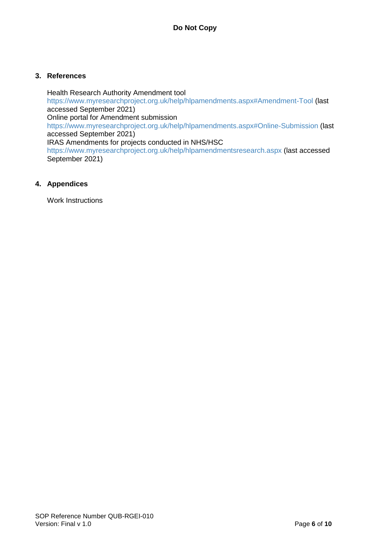#### **3. References**

Health Research Authority Amendment tool <https://www.myresearchproject.org.uk/help/hlpamendments.aspx#Amendment-Tool> (last accessed September 2021) Online portal for Amendment submission <https://www.myresearchproject.org.uk/help/hlpamendments.aspx#Online-Submission> (last accessed September 2021) IRAS Amendments for projects conducted in NHS/HSC <https://www.myresearchproject.org.uk/help/hlpamendmentsresearch.aspx> (last accessed September 2021)

#### **4. Appendices**

Work Instructions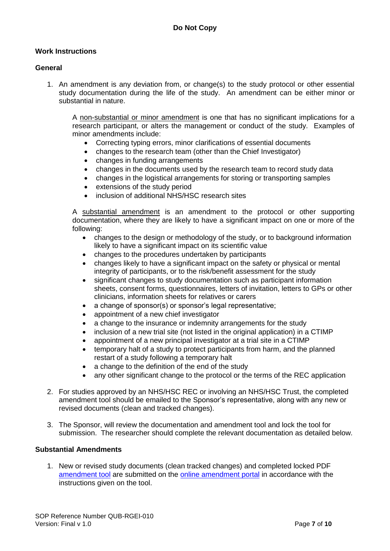#### **Work Instructions**

#### **General**

1. An amendment is any deviation from, or change(s) to the study protocol or other essential study documentation during the life of the study. An amendment can be either minor or substantial in nature.

A non-substantial or minor amendment is one that has no significant implications for a research participant, or alters the management or conduct of the study. Examples of minor amendments include:

- Correcting typing errors, minor clarifications of essential documents
- changes to the research team (other than the Chief Investigator)
- changes in funding arrangements
- changes in the documents used by the research team to record study data
- changes in the logistical arrangements for storing or transporting samples
- extensions of the study period
- inclusion of additional NHS/HSC research sites

A substantial amendment is an amendment to the protocol or other supporting documentation, where they are likely to have a significant impact on one or more of the following:

- changes to the design or methodology of the study, or to background information likely to have a significant impact on its scientific value
- changes to the procedures undertaken by participants
- changes likely to have a significant impact on the safety or physical or mental integrity of participants, or to the risk/benefit assessment for the study
- significant changes to study documentation such as participant information sheets, consent forms, questionnaires, letters of invitation, letters to GPs or other clinicians, information sheets for relatives or carers
- a change of sponsor(s) or sponsor's legal representative;
- appointment of a new chief investigator
- a change to the insurance or indemnity arrangements for the study
- inclusion of a new trial site (not listed in the original application) in a CTIMP
- appointment of a new principal investigator at a trial site in a CTIMP
- temporary halt of a study to protect participants from harm, and the planned restart of a study following a temporary halt
- a change to the definition of the end of the study
- any other significant change to the protocol or the terms of the REC application
- 2. For studies approved by an NHS/HSC REC or involving an NHS/HSC Trust, the completed amendment tool should be emailed to the Sponsor's representative, along with any new or revised documents (clean and tracked changes).
- 3. The Sponsor, will review the documentation and amendment tool and lock the tool for submission. The researcher should complete the relevant documentation as detailed below.

#### **Substantial Amendments**

1. New or revised study documents (clean tracked changes) and completed locked PDF [amendment tool](https://www.myresearchproject.org.uk/help/hlpamendments.aspx#Amendment-Tool) are submitted on the [online amendment portal](https://www.myresearchproject.org.uk/help/hlpamendments.aspx#Online-Submission) in accordance with the instructions given on the tool.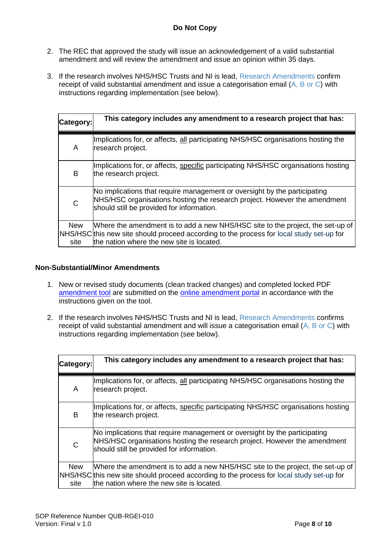## **Do Not Copy**

- 2. The REC that approved the study will issue an acknowledgement of a valid substantial amendment and will review the amendment and issue an opinion within 35 days.
- 3. If the research involves NHS/HSC Trusts and NI is lead, [Research Amendments](mailto:Research.Amendments@hscni.net) confirm receipt of valid substantial amendment and issue a categorisation email [\(A, B or C\)](https://www.myresearchproject.org.uk/help/hlpamendmentsresearch.aspx) with instructions regarding implementation (see below).

| Category:          | This category includes any amendment to a research project that has:                                                                                                                                                    |
|--------------------|-------------------------------------------------------------------------------------------------------------------------------------------------------------------------------------------------------------------------|
| A                  | Implications for, or affects, all participating NHS/HSC organisations hosting the<br>research project.                                                                                                                  |
| B                  | Implications for, or affects, specific participating NHS/HSC organisations hosting<br>the research project.                                                                                                             |
| C                  | No implications that require management or oversight by the participating<br>NHS/HSC organisations hosting the research project. However the amendment<br>should still be provided for information.                     |
| <b>New</b><br>site | Where the amendment is to add a new NHS/HSC site to the project, the set-up of<br>NHS/HSC this new site should proceed according to the process for local study set-up for<br>the nation where the new site is located. |

#### **Non-Substantial/Minor Amendments**

- 1. New or revised study documents (clean tracked changes) and completed locked PDF [amendment tool](https://www.myresearchproject.org.uk/help/hlpamendments.aspx#Amendment-Tool) are submitted on the **online amendment portal** in accordance with the instructions given on the tool.
- 2. If the research involves NHS/HSC Trusts and NI is lead, [Research Amendments](mailto:Research.Amendments@hscni.net) confirms receipt of valid substantial amendment and will issue a categorisation email [\(A, B or C\)](https://www.myresearchproject.org.uk/help/hlpamendmentsresearch.aspx) with instructions regarding implementation (see below).

| Category:          | This category includes any amendment to a research project that has:                                                                                                                                                    |
|--------------------|-------------------------------------------------------------------------------------------------------------------------------------------------------------------------------------------------------------------------|
| A                  | Implications for, or affects, all participating NHS/HSC organisations hosting the<br>research project.                                                                                                                  |
| B                  | Implications for, or affects, specific participating NHS/HSC organisations hosting<br>the research project.                                                                                                             |
| $\mathsf{C}$       | No implications that require management or oversight by the participating<br>NHS/HSC organisations hosting the research project. However the amendment<br>should still be provided for information.                     |
| <b>New</b><br>site | Where the amendment is to add a new NHS/HSC site to the project, the set-up of<br>NHS/HSC this new site should proceed according to the process for local study set-up for<br>the nation where the new site is located. |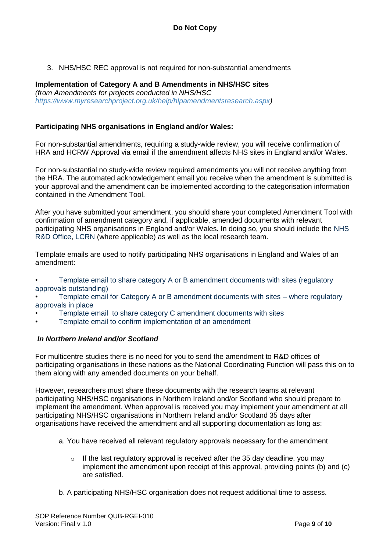3. NHS/HSC REC approval is not required for non-substantial amendments

#### **Implementation of Category A and B Amendments in NHS/HSC sites** *(from Amendments for projects conducted in NHS/HSC [https://www.myresearchproject.org.uk/help/hlpamendmentsresearch.aspx\)](https://www.myresearchproject.org.uk/help/hlpamendmentsresearch.aspx)*

# **Participating NHS organisations in England and/or Wales:**

For non-substantial amendments, requiring a study-wide review, you will receive confirmation of HRA and HCRW Approval via email if the amendment affects NHS sites in England and/or Wales.

For non-substantial no study-wide review required amendments you will not receive anything from the HRA. The automated acknowledgement email you receive when the amendment is submitted is your approval and the amendment can be implemented according to the categorisation information contained in the Amendment Tool.

After you have submitted your amendment, you should share your completed Amendment Tool with confirmation of amendment category and, if applicable, amended documents with relevant participating NHS organisations in England and/or Wales. In doing so, you should include the [NHS](http://www.rdforum.nhs.uk/content/contact-details/)  [R&D Office,](http://www.rdforum.nhs.uk/content/contact-details/) [LCRN](https://www.nihr.ac.uk/nihr-in-your-area/local-clinical-research-networks.htm) (where applicable) as well as the local research team.

Template emails are used to notify participating NHS organisations in England and Wales of an amendment:

- Template email [to share category A or B amendment documents with sites \(regulatory](https://www.myresearchproject.org.uk/help/help%20documents/Template_email_to_share_category_A_or_B_amendment_-_approvals_are_outstanding_v2_0.docx)  [approvals outstanding\)](https://www.myresearchproject.org.uk/help/help%20documents/Template_email_to_share_category_A_or_B_amendment_-_approvals_are_outstanding_v2_0.docx)
- [Template email for Category A or B amendment documents with sites –](https://www.myresearchproject.org.uk/help/help%20documents/Template_email_to_share_category_A_or_B_amendment_-_approvals_in_place_v2_0.docx) where regulatory [approvals in place](https://www.myresearchproject.org.uk/help/help%20documents/Template_email_to_share_category_A_or_B_amendment_-_approvals_in_place_v2_0.docx)
- [Template email to share category C amendment documents with sites](https://www.myresearchproject.org.uk/help/help%20documents/Template_email_to_share_category_C_amendment_docs_with_sites_v2_0.docx)
- [Template email to confirm implementation of an amendment](https://www.myresearchproject.org.uk/help/help%20documents/Template_email_to_confirm_implementation_of_an_amendment_v2_.0.docx)

#### *In Northern Ireland and/or Scotland*

For multicentre studies there is no need for you to send the amendment to R&D offices of participating organisations in these nations as the National Coordinating Function will pass this on to them along with any amended documents on your behalf.

However, researchers must share these documents with the research teams at relevant participating NHS/HSC organisations in Northern Ireland and/or Scotland who should prepare to implement the amendment. When approval is received you may implement your amendment at all participating NHS/HSC organisations in Northern Ireland and/or Scotland 35 days after organisations have received the amendment and all supporting documentation as long as:

- a. You have received all relevant regulatory approvals necessary for the amendment
	- $\circ$  If the last regulatory approval is received after the 35 day deadline, you may implement the amendment upon receipt of this approval, providing points (b) and (c) are satisfied.
- b. A participating NHS/HSC organisation does not request additional time to assess.